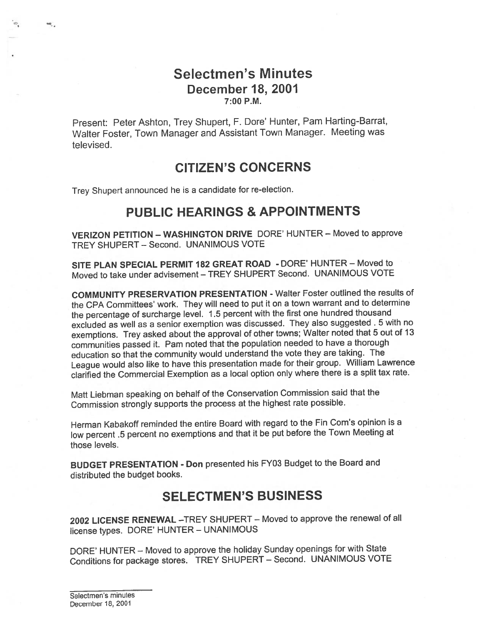# Selectmen's Minutes December 18, 2001 7:00 P.M.

Present: Peter Ashton, Trey Shupert, F. Dore' Hunter, Pam Harting-Barrat, Walter Foster, Town Manager and Assistant Town Manager. Meeting was televised.

# CITIZEN'S CONCERNS

Trey Shupert announced he is a candidate for re-election.

# PUBLIC HEARINGS & APPOINTMENTS

VERIZON PETITION — WASHINGTON DRIVE DORE' HUNTER — Moved to approve TREY SHUPERT — Second. UNANIMOUS VOTE

SITE PLAN SPECIAL PERMIT 182 GREAT ROAD - DORE' HUNTER — Moved to Moved to take under advisement — TREY SHUPERT Second. UNANIMOUS VOTE

COMMUNITY PRESERVATION PRESENTATION - Walter Foster outlined the results of the CPA Committees' work. They will need to pu<sup>t</sup> it on <sup>a</sup> town warrant and to determine the percentage of surcharge level. <sup>1</sup> .5 percen<sup>t</sup> with the first one hundred thousand excluded as well as <sup>a</sup> senior exemption was discussed. They also suggested . <sup>5</sup> with no exemptions. Trey asked about the approva<sup>l</sup> of other towns; Walter noted that <sup>5</sup> out of <sup>13</sup> communities passe<sup>d</sup> it. Pam noted that the population needed to have <sup>a</sup> thorough education so that the community would understand the vote they are taking. The League would also like to have this presentation made for their group. William Lawrence clarified the Commercial Exemption as <sup>a</sup> local option only where there is <sup>a</sup> split tax rate.

Matt Liebman speaking on behalf of the Conservation Commission said that the Commission strongly supports the process at the highest rate possible.

Herman Kabakoff reminded the entire Board with regard to the Fin Com's opinion is a low percen<sup>t</sup> .5 percen<sup>t</sup> no exemptions and that it be pu<sup>t</sup> before the Town Meeting at those levels.

BUDGET PRESENTATION - Don presented his FY03 Budget to the Board and distributed the budget books.

# SELECTMEN'S BUSINESS

<sup>2002</sup> LICENSE RENEWAL —TREY SHUPERT — Moved to approve the renewal of all license types. DORE' HUNTER — UNANIMOUS

DORE' HUNTER — Moved to approve the holiday Sunday openings for with State Conditions for package stores. TREY SHUPERT — Second. UNANIMOUS VOTE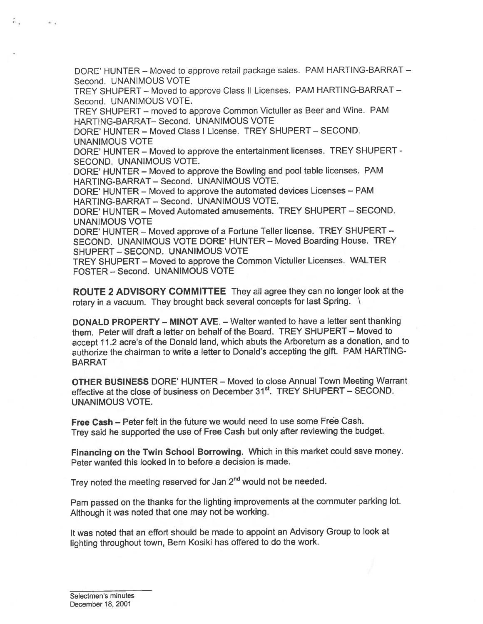DORE' HUNTER — Moved to approve retail package sales. PAM HARTING-BARRAT — Second. UNANIMOUS VOTE

TREY SHUPERT — Moved to approve Class II Licenses. PAM HARTING-BARRAT — Second. UNANIMOUS VOTE.

TREY SHUPERT — moved to approve Common Victuller as Beer and Wine. PAM HARTING-BARRAT— Second. UNANIMOUS VOTE

DORE' HUNTER — Moved Class I License. TREY SHUPERT — SECOND. UNANIMOUS VOTE

DORE' HUNTER — Moved to approve the entertainment licenses. TREY SHUPERT - SECOND. UNANIMOUS VOTE.

DORE' HUNTER — Moved to approve the Bowling and poo<sup>l</sup> table licenses. PAM HARTING-BARRAT — Second. UNANIMOUS VOTE.

DORE' HUNTER — Moved to approve the automated devices Licenses — PAM HARTING-BARRAT — Second. UNANIMOUS VOTE.

DORE' HUNTER — Moved Automated amusements. TREY SHUPERT — SECOND. UNANIMOUS VOTE

DORE' HUNTER — Moved approve of <sup>a</sup> Fortune Teller license. TREY SHUPERT — SECOND. UNANIMOUS VOTE DORE' HUNTER — Moved Boarding House. TREY SHUPERT — SECOND. UNANIMOUS VOTE

TREY SHUPERT — Moved to approve the Common Victuller Licenses. WALTER FOSTER — Second. UNANIMOUS VOTE

ROUTE 2 ADVISORY COMMITTEE They all agree they can no longer look at the rotary in <sup>a</sup> vacuum. They brought back several concepts for last Spring. \

DONALD PROPERTY — MINOT AVE. — Walter wanted to have <sup>a</sup> letter sent thanking them. Peter will draft <sup>a</sup> letter on behalf of the Board. TREY SHUPERT — Moved to accep<sup>t</sup> 11.2 acre's of the Donald land, which abuts the Arboretum as <sup>a</sup> donation, and to authorize the chairman to write <sup>a</sup> letter to Donald's accepting the <sup>g</sup>ift. PAM HARTING BARRAT

OTHER BUSINESS DORE' HUNTER — Moved to close Annual Town Meeting Warrant effective at the close of business on December 31<sup>st</sup>. TREY SHUPERT - SECOND. UNANIMOUS VOTE.

Free Cash — Peter felt in the future we would need to use some Free Cash. Trey said he supported the use of Free Cash but only after reviewing the budget.

Financing on the Twin School Borrowing. Which in this market could save money. Peter wanted this looked in to before <sup>a</sup> decision is made.

Trey noted the meeting reserved for Jan 2<sup>nd</sup> would not be needed.

Pam passe<sup>d</sup> on the thanks for the lighting improvements at the commuter parking lot. Although it was noted that one may not be working.

It was noted that an effort should be made to appoint an Advisory Group to look at lighting throughout town, Bern Kosiki has offered to do the work.

á.

ALC: U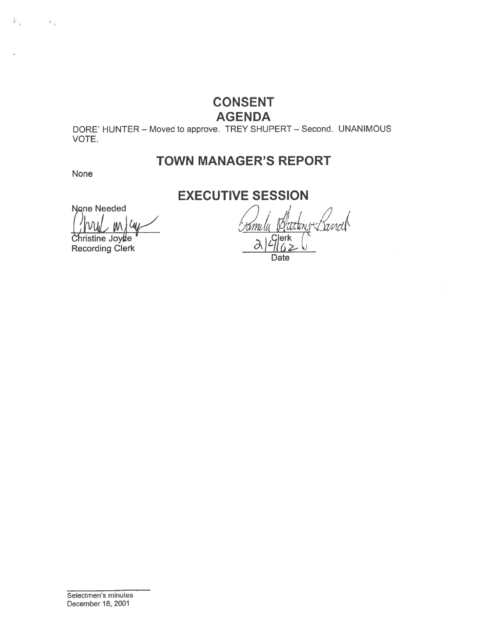# **CONSENT AGENDA**

DORE' HUNTER - Moved to approve. TREY SHUPERT - Second. UNANIMOUS VOTE.

# **TOWN MANAGER'S REPORT**

None

 $\overline{4}$  .

 $\overline{\mathcal{F}}$ 

# **EXECUTIVE SESSION**

None Needed  $|y_{\ell}|$ 

Christine Joyte **Recording Clerk** 

λ,

Date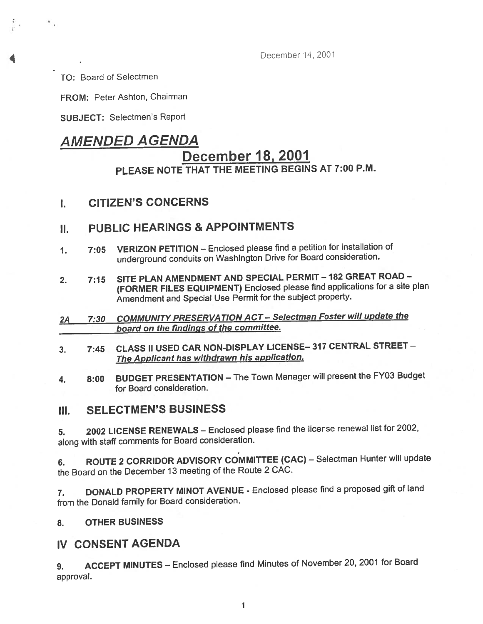December 14, 2001

TO: Board of Selectmen

 $\ddot{\phantom{a}}$  .

FROM: Peter Ashton, Chairman

SUBJECT: Selectmen's Report

# AMENDED A GENDA

# December 18, 2001 PLEASE NOTE THAT THE MEETING BEGINS AT 7:00 P.M.

### I. CITIZEN'S CONCERNS

### II. PUBLIC HEARINGS & APPOINTMENTS

- 1. 7:05 VERIZON PETITION Enclosed <sup>p</sup>lease find <sup>a</sup> petition for installation of underground conduits on Washington Drive for Board consideration.
- 2. 7:15 SITE PLAN AMENDMENT AND SPECIAL PERMIT 182 GREAT ROAD -(FORMER FILES EQUIPMENT) Enclosed <sup>p</sup>lease find applications for <sup>a</sup> site <sup>p</sup>lan Amendment and Special Use Permit for the subject property.
- 2A 7:30 COMMUNITY PRESERVATION ACT Selectman Foster will update the board on the findings of the committee.
- 3. 7:45 CLASS II USED CAR NON-DISPLAY LICENSE— <sup>317</sup> CENTRAL STREET The Applicant has withdrawn his application.
- 4. 8:00 BUDGET PRESENTATION The Town Manager will presen<sup>t</sup> the FY03 Budget for Board consideration.

### III. SELECTMEN'S BUSINESS

5. <sup>2002</sup> LICENSE RENEWALS — Enclosed <sup>p</sup>lease find the license renewal list for 2002, along with staff comments for Board consideration.

6. ROUTE <sup>2</sup> CORRIDOR ADVISORY COMMITTEE (CAC) — Selectman Hunter will update the Board on the December <sup>13</sup> meeting of the Route <sup>2</sup> CAC.

7. DONALD PROPERTY MINOT AVENUE - Enclosed <sup>p</sup>lease find <sup>a</sup> propose<sup>d</sup> <sup>g</sup>ift of land from the Donald family for Board consideration.

#### 8. OTHER BUSINESS

### IV CONSENT AGENDA

9. ACCEPT MINUTES — Enclosed <sup>p</sup>lease find Minutes of November 20, <sup>2001</sup> for Board approval.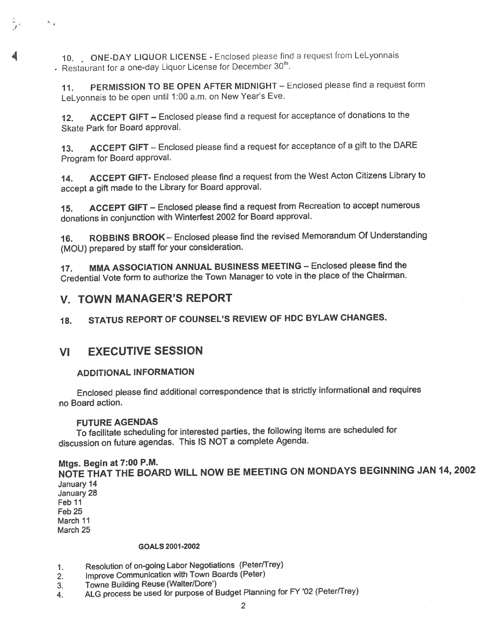10. ONE-DAY LIQUOR LICENSE - Enclosed please find a request from LeLyonnais  $\cdot$  Restaurant for a one-day Liquor License for December 30<sup>th</sup>.

11. PERMISSION TO BE OPEN AFTER MIDNIGHT — Enclosed <sup>p</sup>lease find <sup>a</sup> reques<sup>t</sup> form LeLyonnais to be open until 1:00 a.m. on New Year's Eve.

12. ACCEPT GIFT — Enclosed <sup>p</sup>lease find <sup>a</sup> reques<sup>t</sup> for acceptance of donations to the Skate Park for Board approval.

13. ACCEPT GIFT - Enclosed please find a request for acceptance of a gift to the DARE Program for Board approval.

14. ACCEPT GIFT- Enclosed <sup>p</sup>lease find <sup>a</sup> reques<sup>t</sup> from the West Acton Citizens Library to accep<sup>t</sup> <sup>a</sup> <sup>g</sup>ift made to the Library for Board approval.

15. ACCEPT GIFT — Enclosed <sup>p</sup>lease find <sup>a</sup> reques<sup>t</sup> from Recreation to accep<sup>t</sup> numerous donations in conjunction with Winterfest <sup>2002</sup> for Board approval.

16. ROBBINS BROOK — Enclosed <sup>p</sup>lease find the revised Memorandum Of Understanding (MOU) prepare<sup>d</sup> by staff for your consideration.

17. MMA ASSOCIATION ANNUAL BUSINESS MEETING — Enclosed <sup>p</sup>lease find the Credential Vote form to authorize the Town Manager to vote in the <sup>p</sup>lace of the Chairman.

### V. TOWN MANAGER'S REPORT

18. STATUS REPORT OF COUNSEL'S REVIEW OF HDC BYLAW CHANGES.

### VI EXECUTIVE SESSION

#### ADDITIONAL INFORMATION

Enclosed <sup>p</sup>lease find additional correspondence that is strictly informational and requires no Board action.

#### FUTURE AGENDAS

To facilitate scheduling for interested parties, the following items are scheduled for discussion on future agendas. This IS NOT <sup>a</sup> complete Agenda.

#### Mtgs. Begin at 7:00 P.M.

NOTE THAT THE BOARD WILL NOW BE MEETING ON MONDAYS BEGINNING JAN 14, 2002 January 14 January 28

Feb 11 Feb 25 March 11 March 25

 $\ddot{\phantom{a}}$ .

#### GOALS 2001 -2002

- 1. Resolution of on-going Labor Negotiations (Peter/Trey)
- 2. Improve Communication with Town Boards (Peter)
- 3. Towne Building Reuse (Walter/Dore')
- 4. ALG process be used for purpose of Budget Planning for FY '02 (Peter/Trey)